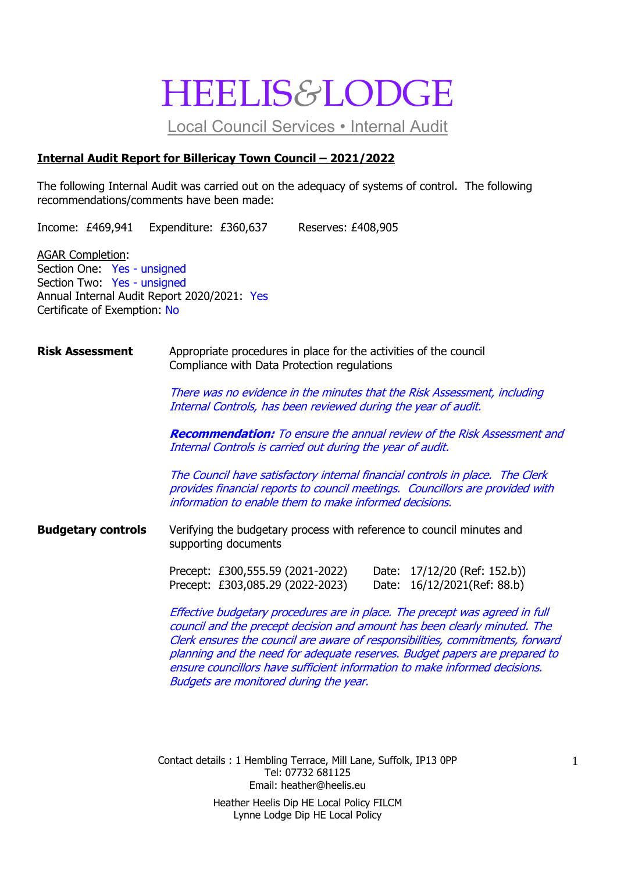# HEELIS*&*LODGE

Local Council Services • Internal Audit

## **Internal Audit Report for Billericay Town Council – 2021/2022**

The following Internal Audit was carried out on the adequacy of systems of control. The following recommendations/comments have been made:

Income: £469,941 Expenditure: £360,637 Reserves: £408,905

AGAR Completion: Section One: Yes - unsigned Section Two: Yes - unsigned Annual Internal Audit Report 2020/2021: Yes Certificate of Exemption: No

### **Risk Assessment** Appropriate procedures in place for the activities of the council Compliance with Data Protection regulations

There was no evidence in the minutes that the Risk Assessment, including Internal Controls, has been reviewed during the year of audit.

**Recommendation:** To ensure the annual review of the Risk Assessment and Internal Controls is carried out during the year of audit.

The Council have satisfactory internal financial controls in place. The Clerk provides financial reports to council meetings. Councillors are provided with information to enable them to make informed decisions.

**Budgetary controls** Verifying the budgetary process with reference to council minutes and supporting documents

> Precept: £300,555.59 (2021-2022) Date: 17/12/20 (Ref: 152.b)) Precept: £303,085.29 (2022-2023) Date: 16/12/2021(Ref: 88.b)

Effective budgetary procedures are in place. The precept was agreed in full council and the precept decision and amount has been clearly minuted. The Clerk ensures the council are aware of responsibilities, commitments, forward planning and the need for adequate reserves. Budget papers are prepared to ensure councillors have sufficient information to make informed decisions. Budgets are monitored during the year.

Contact details : 1 Hembling Terrace, Mill Lane, Suffolk, IP13 0PP Tel: 07732 681125 Email: heather@heelis.eu Heather Heelis Dip HE Local Policy FILCM Lynne Lodge Dip HE Local Policy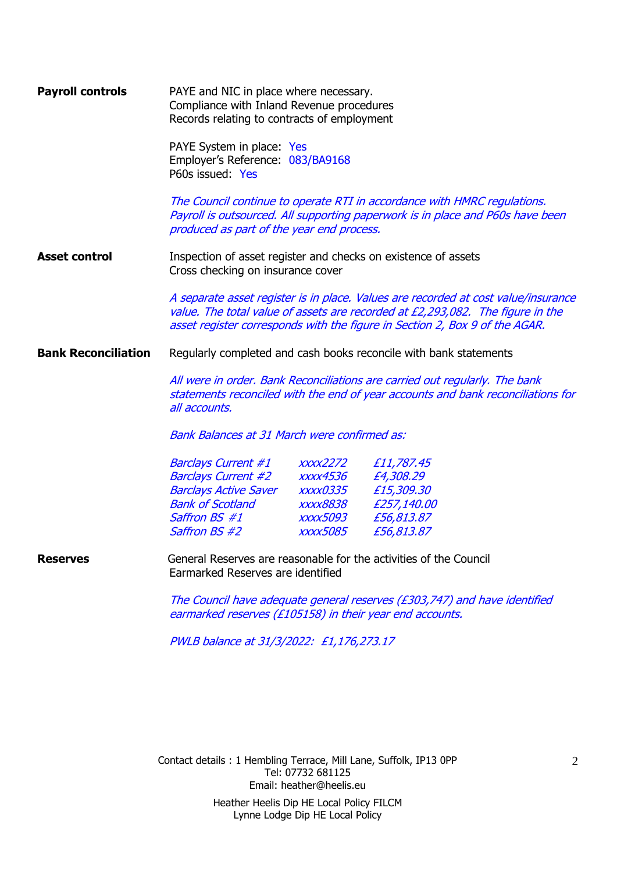| <b>Payroll controls</b>    | PAYE and NIC in place where necessary.<br>Compliance with Inland Revenue procedures<br>Records relating to contracts of employment<br>PAYE System in place: Yes<br>Employer's Reference: 083/BA9168<br>P60s issued: Yes<br>The Council continue to operate RTI in accordance with HMRC regulations.<br>Payroll is outsourced. All supporting paperwork is in place and P60s have been |                                                                                                                                                                 |             |  |
|----------------------------|---------------------------------------------------------------------------------------------------------------------------------------------------------------------------------------------------------------------------------------------------------------------------------------------------------------------------------------------------------------------------------------|-----------------------------------------------------------------------------------------------------------------------------------------------------------------|-------------|--|
|                            | produced as part of the year end process.                                                                                                                                                                                                                                                                                                                                             |                                                                                                                                                                 |             |  |
| <b>Asset control</b>       | Inspection of asset register and checks on existence of assets<br>Cross checking on insurance cover                                                                                                                                                                                                                                                                                   |                                                                                                                                                                 |             |  |
|                            | A separate asset register is in place. Values are recorded at cost value/insurance<br>value. The total value of assets are recorded at £2,293,082. The figure in the<br>asset register corresponds with the figure in Section 2, Box 9 of the AGAR.                                                                                                                                   |                                                                                                                                                                 |             |  |
| <b>Bank Reconciliation</b> | Regularly completed and cash books reconcile with bank statements                                                                                                                                                                                                                                                                                                                     |                                                                                                                                                                 |             |  |
|                            | all accounts.                                                                                                                                                                                                                                                                                                                                                                         | All were in order. Bank Reconciliations are carried out regularly. The bank<br>statements reconciled with the end of year accounts and bank reconciliations for |             |  |
|                            | <b>Bank Balances at 31 March were confirmed as:</b>                                                                                                                                                                                                                                                                                                                                   |                                                                                                                                                                 |             |  |
|                            | Barclays Current #1                                                                                                                                                                                                                                                                                                                                                                   | <i>xxxx2272</i>                                                                                                                                                 | £11,787.45  |  |
|                            | <b>Barclays Current #2</b>                                                                                                                                                                                                                                                                                                                                                            | xxxx4536                                                                                                                                                        | £4,308.29   |  |
|                            | <b>Barclays Active Saver</b>                                                                                                                                                                                                                                                                                                                                                          | <i><b>XXXX0335</b></i>                                                                                                                                          | £15,309.30  |  |
|                            | Bank of Scotland                                                                                                                                                                                                                                                                                                                                                                      | <i><b>XXXX8838</b></i>                                                                                                                                          | £257,140.00 |  |
|                            | Saffron BS #1                                                                                                                                                                                                                                                                                                                                                                         | <b>XXXX5093</b>                                                                                                                                                 | £56,813.87  |  |
|                            | Saffron BS #2                                                                                                                                                                                                                                                                                                                                                                         | xxxx5085                                                                                                                                                        | £56,813.87  |  |
| <b>Reserves</b>            | General Reserves are reasonable for the activities of the Council<br>Earmarked Reserves are identified                                                                                                                                                                                                                                                                                |                                                                                                                                                                 |             |  |
|                            | The Council have adequate general reserves (£303,747) and have identified<br>earmarked reserves (£105158) in their year end accounts.                                                                                                                                                                                                                                                 |                                                                                                                                                                 |             |  |
|                            | PWLB balance at 31/3/2022: £1,176,273.17                                                                                                                                                                                                                                                                                                                                              |                                                                                                                                                                 |             |  |
|                            |                                                                                                                                                                                                                                                                                                                                                                                       |                                                                                                                                                                 |             |  |
|                            |                                                                                                                                                                                                                                                                                                                                                                                       |                                                                                                                                                                 |             |  |
|                            |                                                                                                                                                                                                                                                                                                                                                                                       |                                                                                                                                                                 |             |  |

Contact details : 1 Hembling Terrace, Mill Lane, Suffolk, IP13 0PP Tel: 07732 681125 Email: heather@heelis.eu Heather Heelis Dip HE Local Policy FILCM Lynne Lodge Dip HE Local Policy